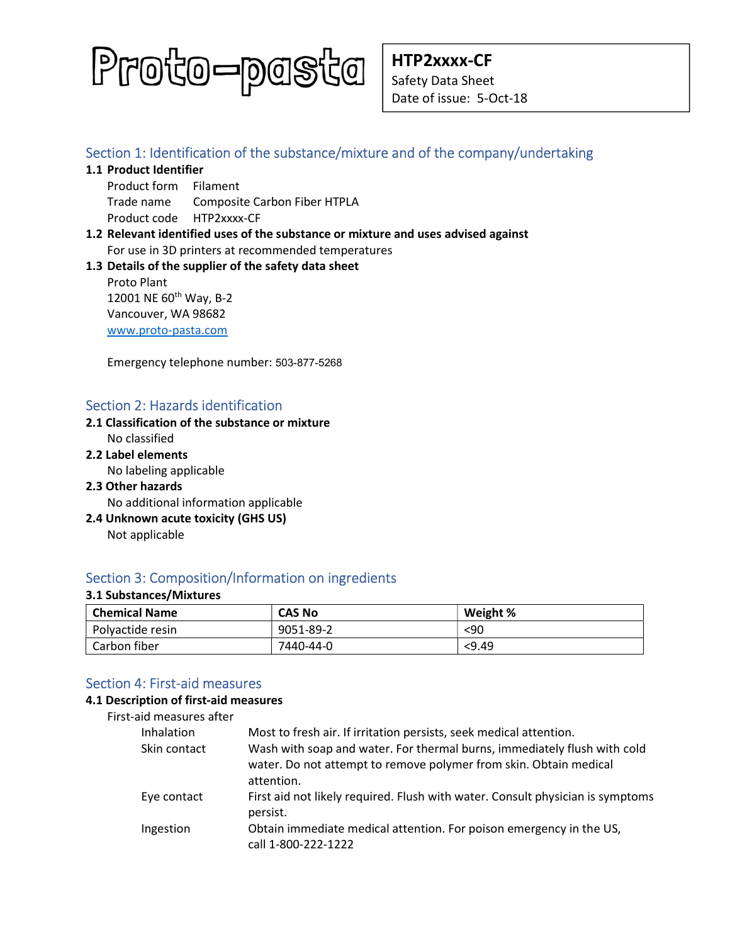

# Section 1: Identification of the substance/mixture and of the company/undertaking

1.1 Product Identifier

Product form Filament Trade name Composite Carbon Fiber HTPLA Product code HTP2xxxx-CF

1.2 Relevant identified uses of the substance or mixture and uses advised against For use in 3D printers at recommended temperatures

### 1.3 Details of the supplier of the safety data sheet

Proto Plant 12001 NE 60<sup>th</sup> Way, B-2 Vancouver, WA 98682 www.proto-pasta.com

Emergency telephone number: 503-877-5268

# Section 2: Hazards identification

### 2.1 Classification of the substance or mixture No classified

2.2 Label elements

No labeling applicable

- 2.3 Other hazards No additional information applicable
- 2.4 Unknown acute toxicity (GHS US) Not applicable

# Section 3: Composition/Information on ingredients

### 3.1 Substances/Mixtures

| <b>Chemical Name</b> | <b>CAS No</b> | Weight % |
|----------------------|---------------|----------|
| Polyactide resin     | 9051-89-2     | $90$     |
| Carbon fiber         | 7440-44-0     | < 9.49   |

## Section 4: First-aid measures

### 4.1 Description of first-aid measures

# First-aid measures after

| Inhalation   | Most to fresh air. If irritation persists, seek medical attention.                                                                                          |
|--------------|-------------------------------------------------------------------------------------------------------------------------------------------------------------|
| Skin contact | Wash with soap and water. For thermal burns, immediately flush with cold<br>water. Do not attempt to remove polymer from skin. Obtain medical<br>attention. |
| Eye contact  | First aid not likely required. Flush with water. Consult physician is symptoms<br>persist.                                                                  |
| Ingestion    | Obtain immediate medical attention. For poison emergency in the US,<br>call 1-800-222-1222                                                                  |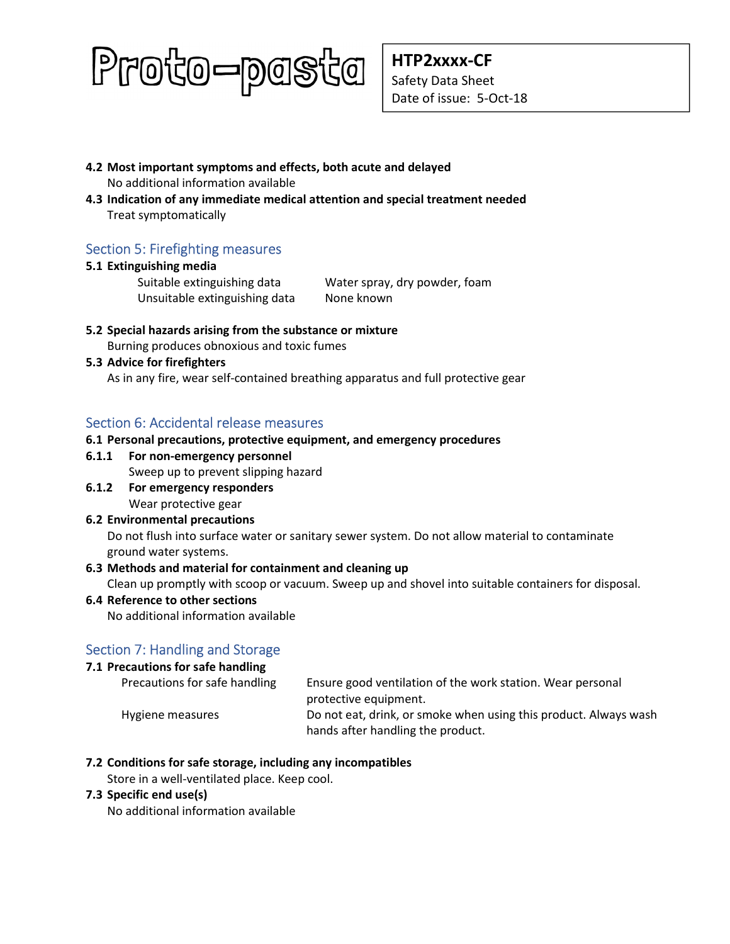

- 4.2 Most important symptoms and effects, both acute and delayed No additional information available
- 4.3 Indication of any immediate medical attention and special treatment needed Treat symptomatically

## Section 5: Firefighting measures

#### 5.1 Extinguishing media

Unsuitable extinguishing data None known

Suitable extinguishing data Water spray, dry powder, foam

### 5.2 Special hazards arising from the substance or mixture

Burning produces obnoxious and toxic fumes

5.3 Advice for firefighters

As in any fire, wear self-contained breathing apparatus and full protective gear

## Section 6: Accidental release measures

### 6.1 Personal precautions, protective equipment, and emergency procedures

- 6.1.1 For non-emergency personnel Sweep up to prevent slipping hazard
- 6.1.2 For emergency responders Wear protective gear

### 6.2 Environmental precautions

Do not flush into surface water or sanitary sewer system. Do not allow material to contaminate ground water systems.

### 6.3 Methods and material for containment and cleaning up

Clean up promptly with scoop or vacuum. Sweep up and shovel into suitable containers for disposal.

6.4 Reference to other sections

No additional information available

## Section 7: Handling and Storage

#### 7.1 Precautions for safe handling

| Precautions for safe handling | Ensure good ventilation of the work station. Wear personal       |
|-------------------------------|------------------------------------------------------------------|
|                               | protective equipment.                                            |
| Hygiene measures              | Do not eat, drink, or smoke when using this product. Always wash |
|                               | hands after handling the product.                                |

### 7.2 Conditions for safe storage, including any incompatibles

Store in a well-ventilated place. Keep cool.

### 7.3 Specific end use(s)

No additional information available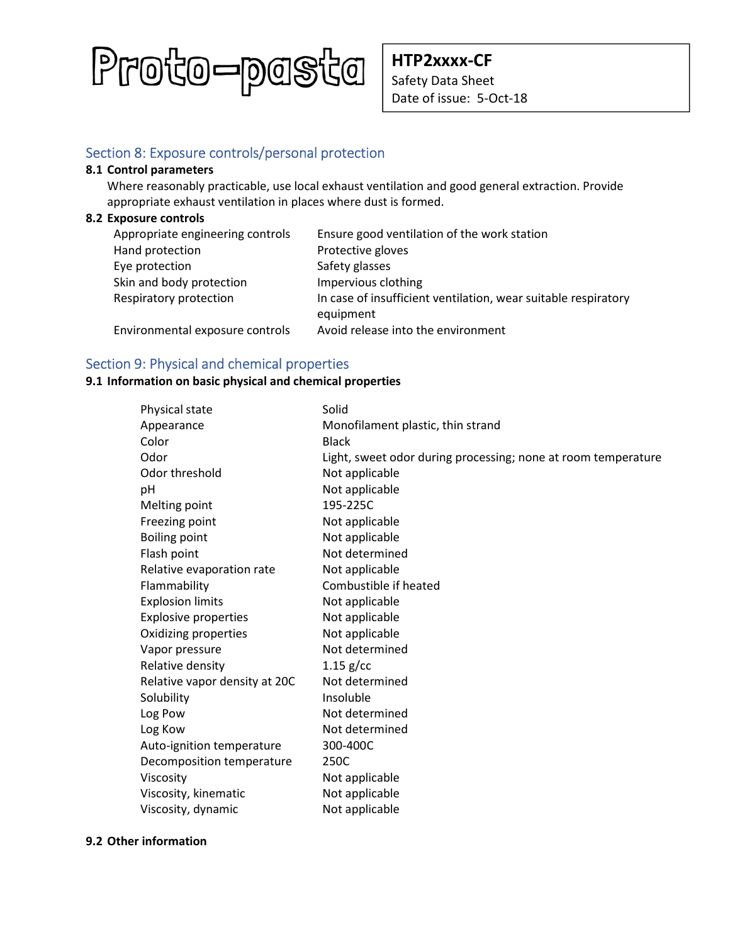

# Section 8: Exposure controls/personal protection

### 8.1 Control parameters

Where reasonably practicable, use local exhaust ventilation and good general extraction. Provide appropriate exhaust ventilation in places where dust is formed.

#### 8.2 Exposure controls

| Appropriate engineering controls | Ensure good ventilation of the work station                                 |
|----------------------------------|-----------------------------------------------------------------------------|
| Hand protection                  | Protective gloves                                                           |
| Eye protection                   | Safety glasses                                                              |
| Skin and body protection         | Impervious clothing                                                         |
| Respiratory protection           | In case of insufficient ventilation, wear suitable respiratory<br>equipment |
| Environmental exposure controls  | Avoid release into the environment                                          |

# Section 9: Physical and chemical properties

### 9.1 Information on basic physical and chemical properties

| Physical state                | Solid                                                         |
|-------------------------------|---------------------------------------------------------------|
| Appearance                    | Monofilament plastic, thin strand                             |
| Color                         | <b>Black</b>                                                  |
| Odor                          | Light, sweet odor during processing; none at room temperature |
| Odor threshold                | Not applicable                                                |
| рH                            | Not applicable                                                |
| Melting point                 | 195-225C                                                      |
| Freezing point                | Not applicable                                                |
| <b>Boiling point</b>          | Not applicable                                                |
| Flash point                   | Not determined                                                |
| Relative evaporation rate     | Not applicable                                                |
| Flammability                  | Combustible if heated                                         |
| <b>Explosion limits</b>       | Not applicable                                                |
| <b>Explosive properties</b>   | Not applicable                                                |
| Oxidizing properties          | Not applicable                                                |
| Vapor pressure                | Not determined                                                |
| Relative density              | $1.15$ g/cc                                                   |
| Relative vapor density at 20C | Not determined                                                |
| Solubility                    | Insoluble                                                     |
| Log Pow                       | Not determined                                                |
| Log Kow                       | Not determined                                                |
| Auto-ignition temperature     | 300-400C                                                      |
| Decomposition temperature     | 250C                                                          |
| Viscosity                     | Not applicable                                                |
| Viscosity, kinematic          | Not applicable                                                |
| Viscosity, dynamic            | Not applicable                                                |

#### 9.2 Other information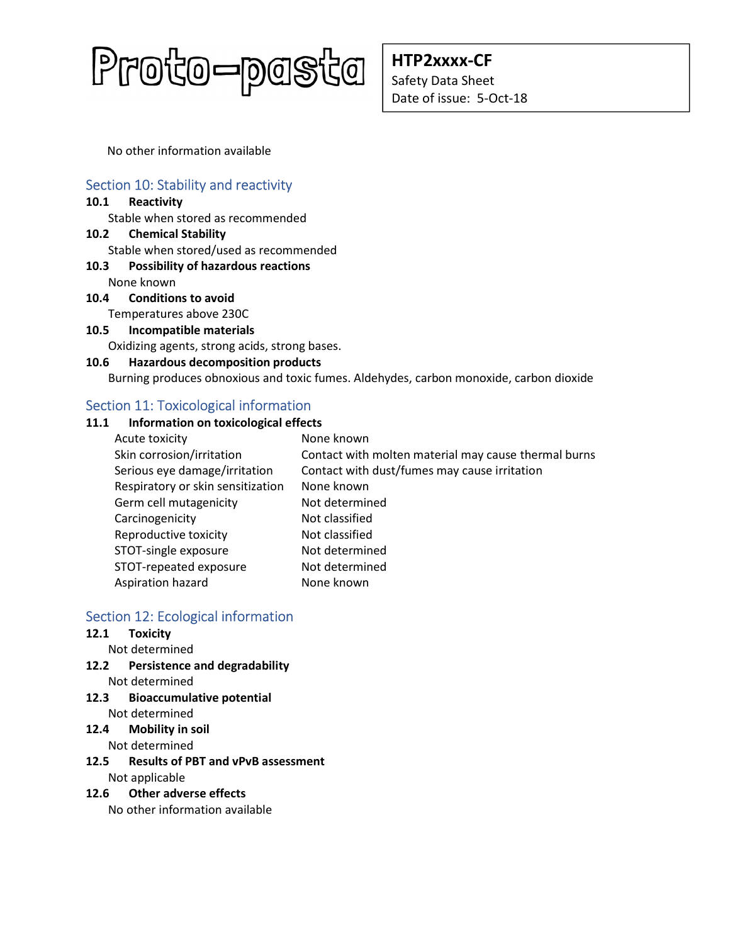

No other information available

# Section 10: Stability and reactivity

### 10.1 Reactivity

Stable when stored as recommended

10.2 Chemical Stability Stable when stored/used as recommended

# 10.3 Possibility of hazardous reactions

None known

- 10.4 Conditions to avoid Temperatures above 230C
- 10.5 Incompatible materials

Oxidizing agents, strong acids, strong bases.

### 10.6 Hazardous decomposition products

Burning produces obnoxious and toxic fumes. Aldehydes, carbon monoxide, carbon dioxide

# Section 11: Toxicological information

### 11.1 Information on toxicological effects

| Acute toxicity                    | None known                                           |
|-----------------------------------|------------------------------------------------------|
| Skin corrosion/irritation         | Contact with molten material may cause thermal burns |
| Serious eye damage/irritation     | Contact with dust/fumes may cause irritation         |
| Respiratory or skin sensitization | None known                                           |
| Germ cell mutagenicity            | Not determined                                       |
| Carcinogenicity                   | Not classified                                       |
| Reproductive toxicity             | Not classified                                       |
| STOT-single exposure              | Not determined                                       |
| STOT-repeated exposure            | Not determined                                       |
| Aspiration hazard                 | None known                                           |

# Section 12: Ecological information

## 12.1 Toxicity

Not determined

- 12.2 Persistence and degradability Not determined
- 12.3 Bioaccumulative potential Not determined

## 12.4 Mobility in soil

Not determined

12.5 Results of PBT and vPvB assessment Not applicable

## 12.6 Other adverse effects

No other information available